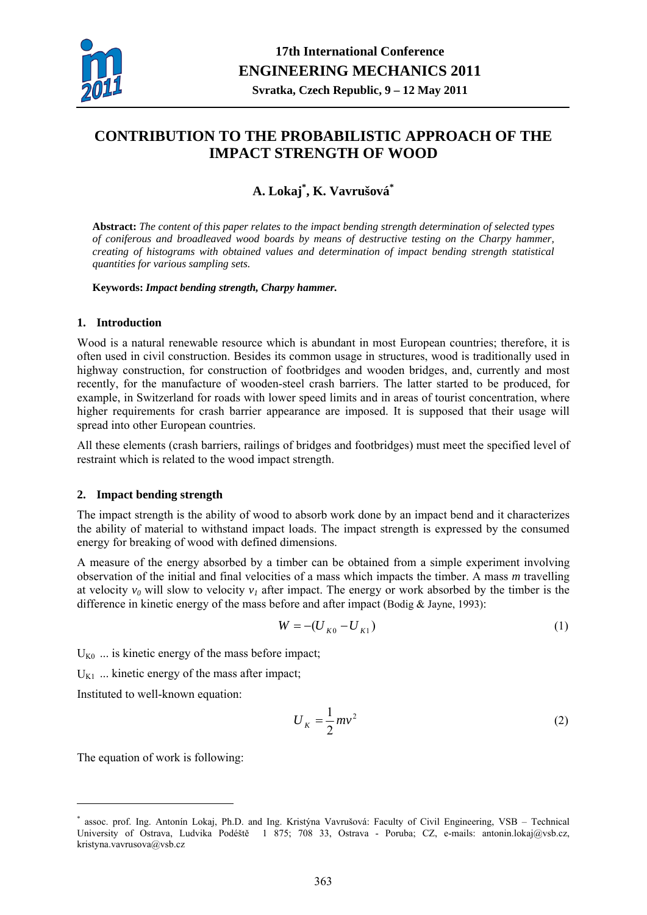

# **CONTRIBUTION TO THE PROBABILISTIC APPROACH OF THE IMPACT STRENGTH OF WOOD**

## **A. Lokaj\* , K. Vavrušová\***

**Abstract:** *The content of this paper relates to the impact bending strength determination of selected types of coniferous and broadleaved wood boards by means of destructive testing on the Charpy hammer, creating of histograms with obtained values and determination of impact bending strength statistical quantities for various sampling sets.* 

**Keywords:** *Impact bending strength, Charpy hammer.* 

#### **1. Introduction**

Wood is a natural renewable resource which is abundant in most European countries; therefore, it is often used in civil construction. Besides its common usage in structures, wood is traditionally used in highway construction, for construction of footbridges and wooden bridges, and, currently and most recently, for the manufacture of wooden-steel crash barriers. The latter started to be produced, for example, in Switzerland for roads with lower speed limits and in areas of tourist concentration, where higher requirements for crash barrier appearance are imposed. It is supposed that their usage will spread into other European countries.

All these elements (crash barriers, railings of bridges and footbridges) must meet the specified level of restraint which is related to the wood impact strength.

## **2. Impact bending strength**

The impact strength is the ability of wood to absorb work done by an impact bend and it characterizes the ability of material to withstand impact loads. The impact strength is expressed by the consumed energy for breaking of wood with defined dimensions.

A measure of the energy absorbed by a timber can be obtained from a simple experiment involving observation of the initial and final velocities of a mass which impacts the timber. A mass *m* travelling at velocity  $v_0$  will slow to velocity  $v_1$  after impact. The energy or work absorbed by the timber is the difference in kinetic energy of the mass before and after impact (Bodig & Jayne, 1993):

$$
W = -(U_{K0} - U_{K1})
$$
 (1)

 $U_{K0}$  ... is kinetic energy of the mass before impact;

 $U_{K1}$  ... kinetic energy of the mass after impact;

Instituted to well-known equation:

$$
U_K = \frac{1}{2}mv^2\tag{2}
$$

The equation of work is following:

1

<sup>\*</sup> assoc. prof. Ing. Antonín Lokaj, Ph.D. and Ing. Kristýna Vavrušová: Faculty of Civil Engineering, VSB – Technical University of Ostrava, Ludvika Podéště 1 875; 708 33, Ostrava - Poruba; CZ, e-mails: antonin.lokaj@vsb.cz, kristyna.vavrusova@vsb.cz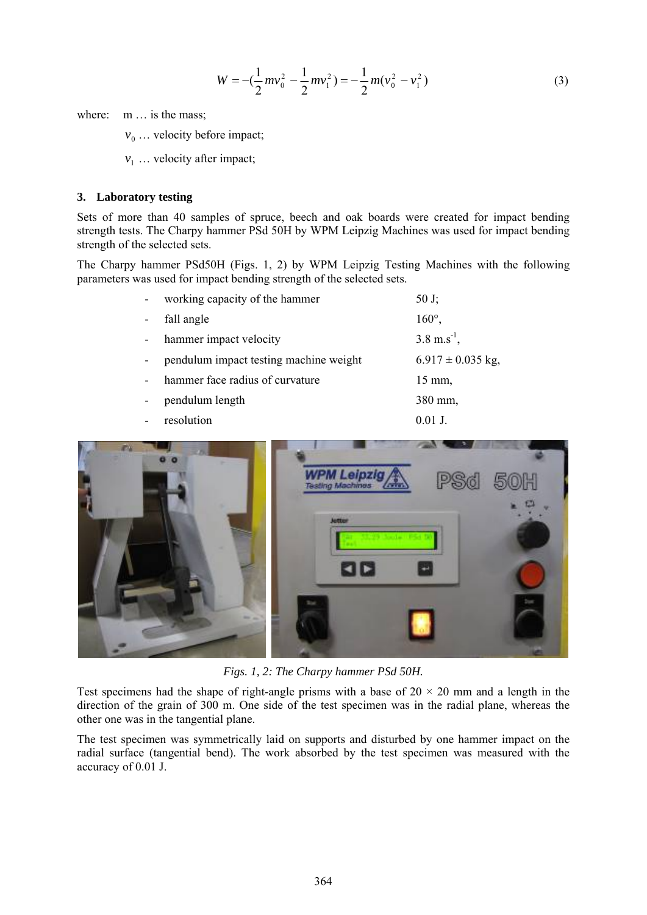$$
W = -\left(\frac{1}{2}mv_0^2 - \frac{1}{2}mv_1^2\right) = -\frac{1}{2}m(v_0^2 - v_1^2)
$$
 (3)

where: m ... is the mass;

 $v_0$  ... velocity before impact;

 $v_1$  ... velocity after impact;

#### **3. Laboratory testing**

Sets of more than 40 samples of spruce, beech and oak boards were created for impact bending strength tests. The Charpy hammer PSd 50H by WPM Leipzig Machines was used for impact bending strength of the selected sets.

The Charpy hammer PSd50H (Figs. 1, 2) by WPM Leipzig Testing Machines with the following parameters was used for impact bending strength of the selected sets.

| working capacity of the hammer         | 50 J;                    |
|----------------------------------------|--------------------------|
| fall angle                             | $160^\circ$ ,            |
| hammer impact velocity                 | $3.8 \text{ m.s}^{-1}$ , |
| pendulum impact testing machine weight | $6.917 \pm 0.035$ kg,    |
| hammer face radius of curvature        | $15 \text{ mm}$ ,        |
| pendulum length                        | 380 mm,                  |
| resolution                             | $0.01$ J.                |



*Figs. 1, 2: The Charpy hammer PSd 50H.* 

Test specimens had the shape of right-angle prisms with a base of  $20 \times 20$  mm and a length in the direction of the grain of 300 m. One side of the test specimen was in the radial plane, whereas the other one was in the tangential plane.

The test specimen was symmetrically laid on supports and disturbed by one hammer impact on the radial surface (tangential bend). The work absorbed by the test specimen was measured with the accuracy of 0.01 J.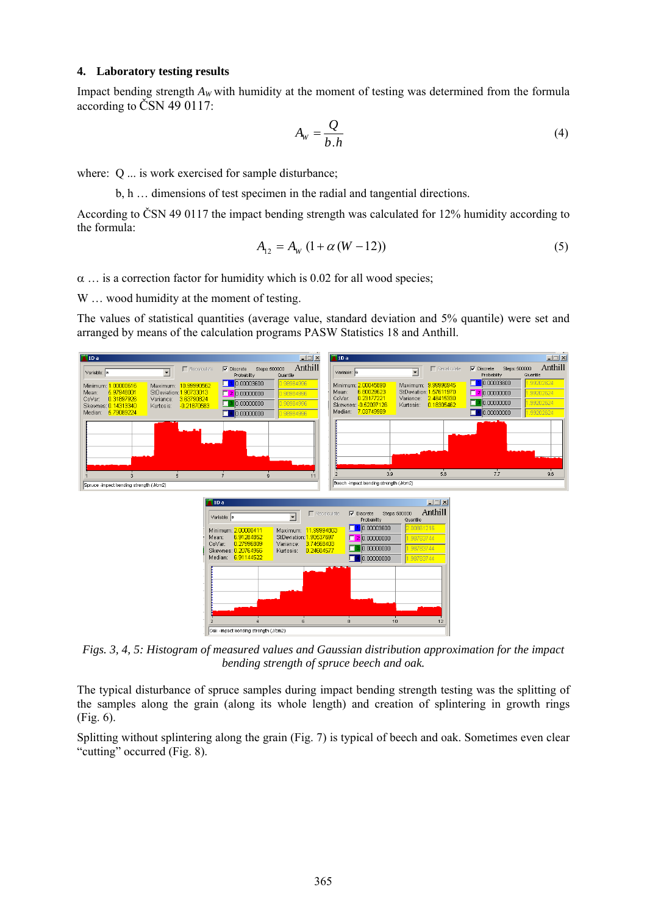#### **4. Laboratory testing results**

Impact bending strength  $A_W$  with humidity at the moment of testing was determined from the formula according to ČSN 49 0117:

$$
A_{\rm w} = \frac{Q}{b \cdot h} \tag{4}
$$

where: Q ... is work exercised for sample disturbance;

b, h … dimensions of test specimen in the radial and tangential directions.

According to ČSN 49 0117 the impact bending strength was calculated for 12% humidity according to the formula:

$$
A_{12} = A_W (1 + \alpha (W - 12))
$$
 (5)

 $\alpha$  ... is a correction factor for humidity which is 0.02 for all wood species;

W ... wood humidity at the moment of testing.

The values of statistical quantities (average value, standard deviation and 5% quantile) were set and arranged by means of the calculation programs PASW Statistics 18 and Anthill.



*Figs. 3, 4, 5: Histogram of measured values and Gaussian distribution approximation for the impact bending strength of spruce beech and oak.* 

The typical disturbance of spruce samples during impact bending strength testing was the splitting of the samples along the grain (along its whole length) and creation of splintering in growth rings (Fig. 6).

Splitting without splintering along the grain (Fig. 7) is typical of beech and oak. Sometimes even clear "cutting" occurred (Fig. 8).